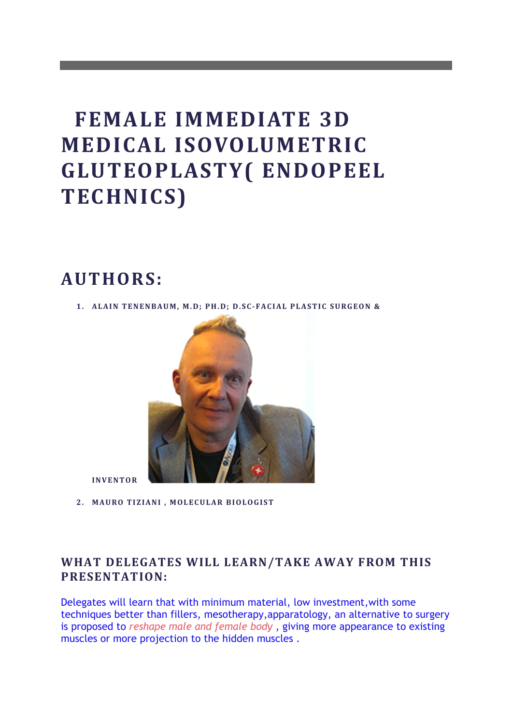# **FEMALE IMMEDIATE 3D MEDICAL ISOVOLUMETRIC GLUTEOPLASTY( ENDOPEEL TECHNICS)**

# **AUTHORS:**

1. **ALAIN TENENBAUM, M.D; PH.D; D.SC-FACIAL PLASTIC SURGEON &** 



**INVENTOR** 

2. **MAURO TIZIANI, MOLECULAR BIOLOGIST** 

# WHAT DELEGATES WILL LEARN/TAKE AWAY FROM THIS **PRESENTATION:**

Delegates will learn that with minimum material, low investment,with some techniques better than fillers, mesotherapy,apparatology, an alternative to surgery is proposed to *reshape male and female body* , giving more appearance to existing muscles or more projection to the hidden muscles .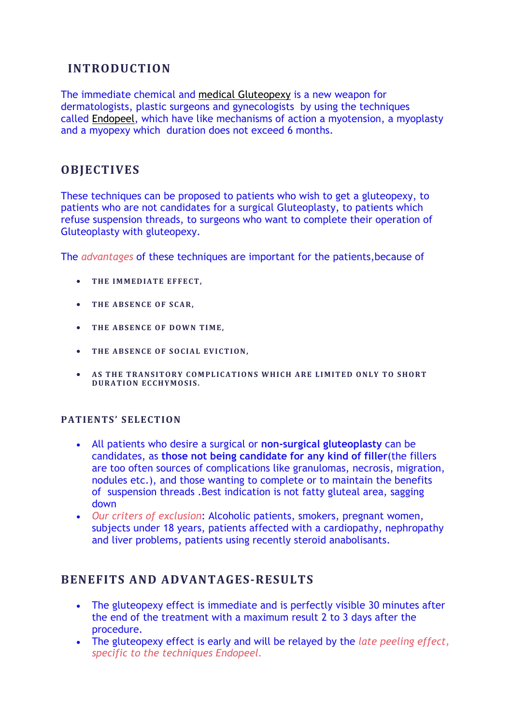# **INTRODUCTION**

The immediate chemical and medical Gluteopexy is a new weapon for dermatologists, plastic surgeons and gynecologists by using the techniques called Endopeel, which have like mechanisms of action a myotension, a myoplasty and a myopexy which duration does not exceed 6 months.

## **OBJECTIVES**

These techniques can be proposed to patients who wish to get a gluteopexy, to patients who are not candidates for a surgical Gluteoplasty, to patients which refuse suspension threads, to surgeons who want to complete their operation of Gluteoplasty with gluteopexy.

The *advantages* of these techniques are important for the patients,because of

- THE IMMEDIATE EFFECT.
- **THE ABSENCE OF SCAR,**
- THE ABSENCE OF DOWN TIME.
- **THE ABSENCE OF SOCIAL EVICTION,**
- AS THE TRANSITORY COMPLICATIONS WHICH ARE LIMITED ONLY TO SHORT **DURATION ECCHYMOSIS.**

#### **PATIENTS' SELECTION**

- All patients who desire a surgical or **non-surgical gluteoplasty** can be candidates, as **those not being candidate for any kind of filler**(the fillers are too often sources of complications like granulomas, necrosis, migration, nodules etc.), and those wanting to complete or to maintain the benefits of suspension threads .Best indication is not fatty gluteal area, sagging down
- *Our criters of exclusion*: Alcoholic patients, smokers, pregnant women, subjects under 18 years, patients affected with a cardiopathy, nephropathy and liver problems, patients using recently steroid anabolisants.

### **BENEFITS AND ADVANTAGES-RESULTS**

- The gluteopexy effect is immediate and is perfectly visible 30 minutes after the end of the treatment with a maximum result 2 to 3 days after the procedure.
- The gluteopexy effect is early and will be relayed by the *late peeling effect, specific to the techniques Endopeel.*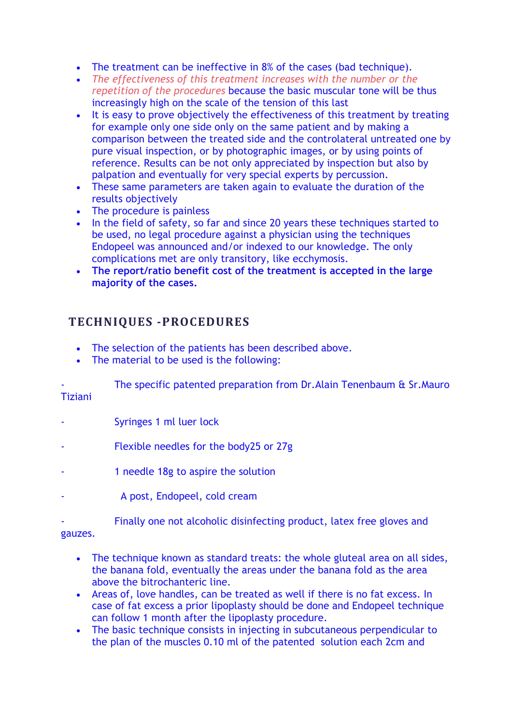- The treatment can be ineffective in 8% of the cases (bad technique).
- *The effectiveness of this treatment increases with the number or the repetition of the procedures* because the basic muscular tone will be thus increasingly high on the scale of the tension of this last
- It is easy to prove objectively the effectiveness of this treatment by treating for example only one side only on the same patient and by making a comparison between the treated side and the controlateral untreated one by pure visual inspection, or by photographic images, or by using points of reference. Results can be not only appreciated by inspection but also by palpation and eventually for very special experts by percussion.
- These same parameters are taken again to evaluate the duration of the results objectively
- The procedure is painless
- In the field of safety, so far and since 20 years these techniques started to be used, no legal procedure against a physician using the techniques Endopeel was announced and/or indexed to our knowledge. The only complications met are only transitory, like ecchymosis.
- **The report/ratio benefit cost of the treatment is accepted in the large majority of the cases.**

# **TECHNIQUES -PROCEDURES**

- The selection of the patients has been described above.
- The material to be used is the following:

The specific patented preparation from Dr. Alain Tenenbaum & Sr. Mauro Tiziani

- Syringes 1 ml luer lock
- Flexible needles for the body25 or 27g
- 1 needle 18g to aspire the solution
	- A post, Endopeel, cold cream

Finally one not alcoholic disinfecting product, latex free gloves and

#### gauzes.

- The technique known as standard treats: the whole gluteal area on all sides, the banana fold, eventually the areas under the banana fold as the area above the bitrochanteric line.
- Areas of, love handles, can be treated as well if there is no fat excess. In case of fat excess a prior lipoplasty should be done and Endopeel technique can follow 1 month after the lipoplasty procedure.
- The basic technique consists in injecting in subcutaneous perpendicular to the plan of the muscles 0.10 ml of the patented solution each 2cm and